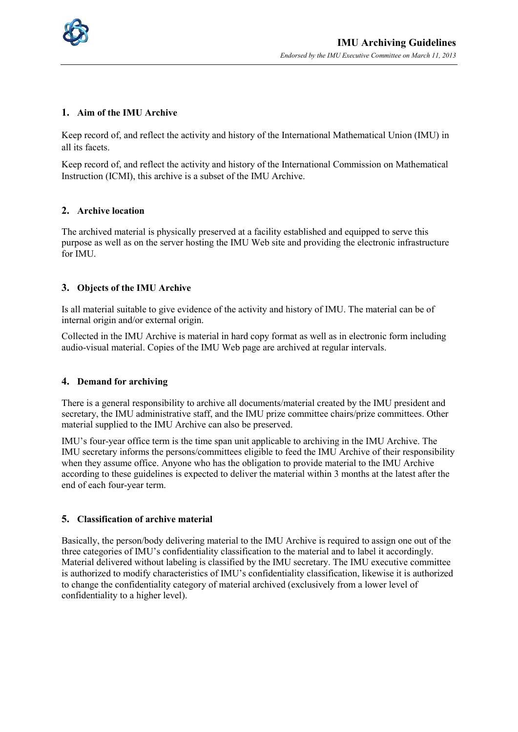

# **1. Aim of the IMU Archive**

Keep record of, and reflect the activity and history of the International Mathematical Union (IMU) in all its facets.

Keep record of, and reflect the activity and history of the International Commission on Mathematical Instruction (ICMI), this archive is a subset of the IMU Archive.

### **2. Archive location**

The archived material is physically preserved at a facility established and equipped to serve this purpose as well as on the server hosting the IMU Web site and providing the electronic infrastructure for IMU.

# **3. Objects of the IMU Archive**

Is all material suitable to give evidence of the activity and history of IMU. The material can be of internal origin and/or external origin.

Collected in the IMU Archive is material in hard copy format as well as in electronic form including audio-visual material. Copies of the IMU Web page are archived at regular intervals.

### **4. Demand for archiving**

There is a general responsibility to archive all documents/material created by the IMU president and secretary, the IMU administrative staff, and the IMU prize committee chairs/prize committees. Other material supplied to the IMU Archive can also be preserved.

IMU's four-year office term is the time span unit applicable to archiving in the IMU Archive. The IMU secretary informs the persons/committees eligible to feed the IMU Archive of their responsibility when they assume office. Anyone who has the obligation to provide material to the IMU Archive according to these guidelines is expected to deliver the material within 3 months at the latest after the end of each four-year term.

### **5. Classification of archive material**

Basically, the person/body delivering material to the IMU Archive is required to assign one out of the three categories of IMU's confidentiality classification to the material and to label it accordingly. Material delivered without labeling is classified by the IMU secretary. The IMU executive committee is authorized to modify characteristics of IMU's confidentiality classification, likewise it is authorized to change the confidentiality category of material archived (exclusively from a lower level of confidentiality to a higher level).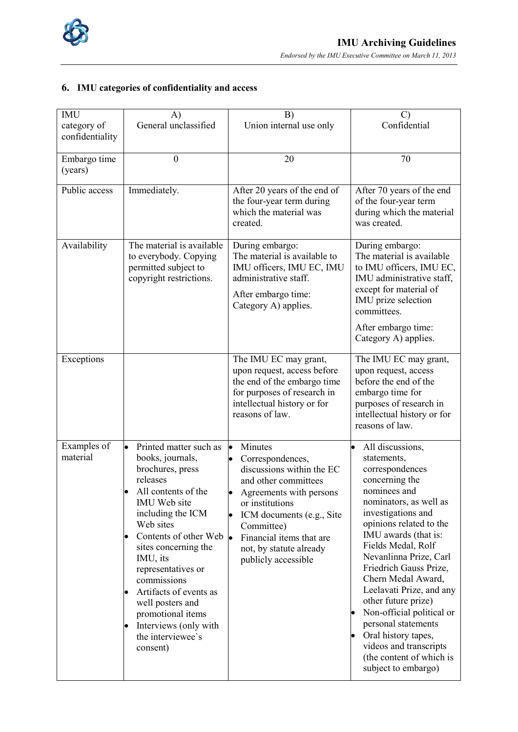

# **6. IMU categories of confidentiality and access**

| <b>IMU</b><br>category of | A)<br>General unclassified                                                                                                                                                                                                                                                                                                                                                                                         | B)<br>Union internal use only                                                                                                                                                                                                                                                                              | $\mathcal{C}$<br>Confidential                                                                                                                                                                                                                                                                                                                                                                                                                                                                                                |
|---------------------------|--------------------------------------------------------------------------------------------------------------------------------------------------------------------------------------------------------------------------------------------------------------------------------------------------------------------------------------------------------------------------------------------------------------------|------------------------------------------------------------------------------------------------------------------------------------------------------------------------------------------------------------------------------------------------------------------------------------------------------------|------------------------------------------------------------------------------------------------------------------------------------------------------------------------------------------------------------------------------------------------------------------------------------------------------------------------------------------------------------------------------------------------------------------------------------------------------------------------------------------------------------------------------|
| confidentiality           |                                                                                                                                                                                                                                                                                                                                                                                                                    |                                                                                                                                                                                                                                                                                                            |                                                                                                                                                                                                                                                                                                                                                                                                                                                                                                                              |
| Embargo time<br>(years)   | $\mathbf{0}$                                                                                                                                                                                                                                                                                                                                                                                                       | 20                                                                                                                                                                                                                                                                                                         | 70                                                                                                                                                                                                                                                                                                                                                                                                                                                                                                                           |
| Public access             | Immediately.                                                                                                                                                                                                                                                                                                                                                                                                       | After 20 years of the end of<br>the four-year term during<br>which the material was<br>created.                                                                                                                                                                                                            | After 70 years of the end<br>of the four-year term<br>during which the material<br>was created.                                                                                                                                                                                                                                                                                                                                                                                                                              |
| Availability              | The material is available<br>to everybody. Copying<br>permitted subject to<br>copyright restrictions.                                                                                                                                                                                                                                                                                                              | During embargo:<br>The material is available to<br>IMU officers, IMU EC, IMU<br>administrative staff.<br>After embargo time:<br>Category A) applies.                                                                                                                                                       | During embargo:<br>The material is available<br>to IMU officers, IMU EC,<br>IMU administrative staff,<br>except for material of<br>IMU prize selection<br>committees.<br>After embargo time:<br>Category A) applies.                                                                                                                                                                                                                                                                                                         |
| Exceptions                |                                                                                                                                                                                                                                                                                                                                                                                                                    | The IMU EC may grant,<br>upon request, access before<br>the end of the embargo time<br>for purposes of research in<br>intellectual history or for<br>reasons of law.                                                                                                                                       | The IMU EC may grant,<br>upon request, access<br>before the end of the<br>embargo time for<br>purposes of research in<br>intellectual history or for<br>reasons of law.                                                                                                                                                                                                                                                                                                                                                      |
| Examples of<br>material   | Printed matter such as<br>books, journals,<br>brochures, press<br>releases<br>All contents of the<br>IMU Web site<br>including the ICM<br>Web sites<br>Contents of other Web<br>lo<br>sites concerning the<br>IMU, its<br>representatives or<br>commissions<br>Artifacts of events as<br>$\bullet$<br>well posters and<br>promotional items<br>Interviews (only with<br>$\bullet$<br>the interviewee's<br>consent) | Minutes<br> .<br>Correspondences,<br>$\bullet$<br>discussions within the EC<br>and other committees<br>Agreements with persons<br>$\bullet$<br>or institutions<br>ICM documents (e.g., Site<br>$\bullet$<br>Committee)<br>Financial items that are<br>lo<br>not, by statute already<br>publicly accessible | All discussions,<br>statements,<br>correspondences<br>concerning the<br>nominees and<br>nominators, as well as<br>investigations and<br>opinions related to the<br>IMU awards (that is:<br>Fields Medal, Rolf<br>Nevanlinna Prize, Carl<br>Friedrich Gauss Prize,<br>Chern Medal Award,<br>Leelavati Prize, and any<br>other future prize)<br>Non-official political or<br>$\bullet$<br>personal statements<br>Oral history tapes,<br>$\bullet$<br>videos and transcripts<br>(the content of which is<br>subject to embargo) |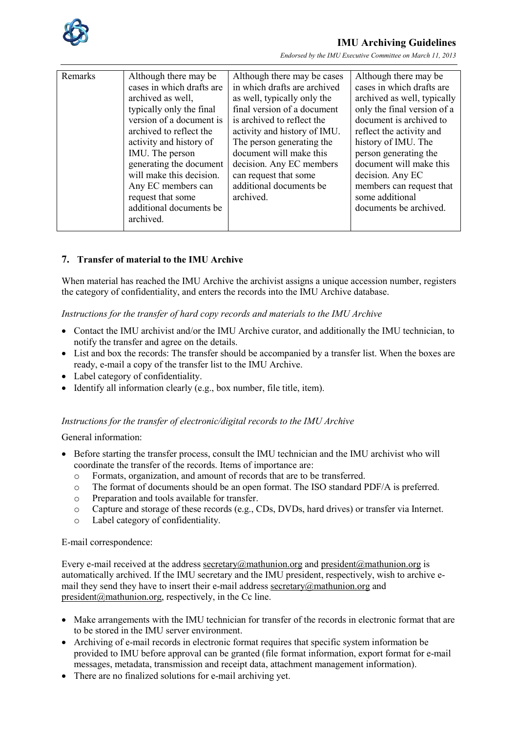

# **IMU Archiving Guidelines**

*Endorsed by the IMU Executive Committee on March 11, 2013*

| Remarks | Although there may be<br>cases in which drafts are<br>archived as well,<br>typically only the final<br>version of a document is<br>archived to reflect the<br>activity and history of<br>IMU. The person<br>generating the document<br>will make this decision.<br>Any EC members can<br>request that some<br>additional documents be<br>archived. | Although there may be cases<br>in which drafts are archived<br>as well, typically only the<br>final version of a document<br>is archived to reflect the<br>activity and history of IMU.<br>The person generating the<br>document will make this<br>decision. Any EC members<br>can request that some<br>additional documents be<br>archived. | Although there may be<br>cases in which drafts are<br>archived as well, typically<br>only the final version of a<br>document is archived to<br>reflect the activity and<br>history of IMU. The<br>person generating the<br>document will make this<br>decision. Any EC<br>members can request that<br>some additional<br>documents be archived. |
|---------|----------------------------------------------------------------------------------------------------------------------------------------------------------------------------------------------------------------------------------------------------------------------------------------------------------------------------------------------------|----------------------------------------------------------------------------------------------------------------------------------------------------------------------------------------------------------------------------------------------------------------------------------------------------------------------------------------------|-------------------------------------------------------------------------------------------------------------------------------------------------------------------------------------------------------------------------------------------------------------------------------------------------------------------------------------------------|

# **7. Transfer of material to the IMU Archive**

When material has reached the IMU Archive the archivist assigns a unique accession number, registers the category of confidentiality, and enters the records into the IMU Archive database.

### *Instructions for the transfer of hard copy records and materials to the IMU Archive*

- Contact the IMU archivist and/or the IMU Archive curator, and additionally the IMU technician, to notify the transfer and agree on the details.
- List and box the records: The transfer should be accompanied by a transfer list. When the boxes are ready, e-mail a copy of the transfer list to the IMU Archive.
- Label category of confidentiality.
- Identify all information clearly (e.g., box number, file title, item).

### *Instructions for the transfer of electronic/digital records to the IMU Archive*

General information:

- Before starting the transfer process, consult the IMU technician and the IMU archivist who will coordinate the transfer of the records. Items of importance are:
	- o Formats, organization, and amount of records that are to be transferred.
	- o The format of documents should be an open format. The ISO standard PDF/A is preferred.<br>
	Preparation and tools available for transfer
	- Preparation and tools available for transfer.
	- o Capture and storage of these records (e.g., CDs, DVDs, hard drives) or transfer via Internet.
	- o Label category of confidentiality.

### E-mail correspondence:

Every e-mail received at the address secretary@mathunion.org and president@mathunion.org is automatically archived. If the IMU secretary and the IMU president, respectively, wish to archive email they send they have to insert their e-mail address secretary@mathunion.org and  $president@math$ mathunion.org, respectively, in the Cc line.

- Make arrangements with the IMU technician for transfer of the records in electronic format that are to be stored in the IMU server environment.
- Archiving of e-mail records in electronic format requires that specific system information be provided to IMU before approval can be granted (file format information, export format for e-mail messages, metadata, transmission and receipt data, attachment management information).
- There are no finalized solutions for e-mail archiving yet.